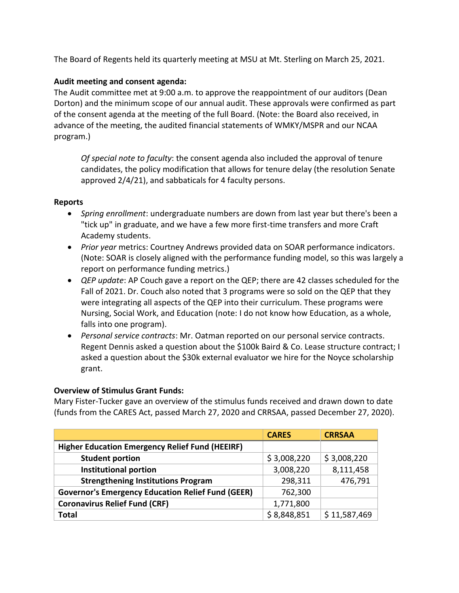The Board of Regents held its quarterly meeting at MSU at Mt. Sterling on March 25, 2021.

# **Audit meeting and consent agenda:**

The Audit committee met at 9:00 a.m. to approve the reappointment of our auditors (Dean Dorton) and the minimum scope of our annual audit. These approvals were confirmed as part of the consent agenda at the meeting of the full Board. (Note: the Board also received, in advance of the meeting, the audited financial statements of WMKY/MSPR and our NCAA program.)

*Of special note to faculty*: the consent agenda also included the approval of tenure candidates, the policy modification that allows for tenure delay (the resolution Senate approved 2/4/21), and sabbaticals for 4 faculty persons.

## **Reports**

- *Spring enrollment*: undergraduate numbers are down from last year but there's been a "tick up" in graduate, and we have a few more first-time transfers and more Craft Academy students.
- *Prior year* metrics: Courtney Andrews provided data on SOAR performance indicators. (Note: SOAR is closely aligned with the performance funding model, so this was largely a report on performance funding metrics.)
- *QEP update*: AP Couch gave a report on the QEP; there are 42 classes scheduled for the Fall of 2021. Dr. Couch also noted that 3 programs were so sold on the QEP that they were integrating all aspects of the QEP into their curriculum. These programs were Nursing, Social Work, and Education (note: I do not know how Education, as a whole, falls into one program).
- *Personal service contracts*: Mr. Oatman reported on our personal service contracts. Regent Dennis asked a question about the \$100k Baird & Co. Lease structure contract; I asked a question about the \$30k external evaluator we hire for the Noyce scholarship grant.

## **Overview of Stimulus Grant Funds:**

Mary Fister-Tucker gave an overview of the stimulus funds received and drawn down to date (funds from the CARES Act, passed March 27, 2020 and CRRSAA, passed December 27, 2020).

|                                                          | <b>CARES</b> | <b>CRRSAA</b> |
|----------------------------------------------------------|--------------|---------------|
| <b>Higher Education Emergency Relief Fund (HEEIRF)</b>   |              |               |
| <b>Student portion</b>                                   | \$3,008,220  | \$3,008,220   |
| <b>Institutional portion</b>                             | 3,008,220    | 8,111,458     |
| <b>Strengthening Institutions Program</b>                | 298,311      | 476,791       |
| <b>Governor's Emergency Education Relief Fund (GEER)</b> | 762,300      |               |
| <b>Coronavirus Relief Fund (CRF)</b>                     | 1,771,800    |               |
| <b>Total</b>                                             | \$8,848,851  | \$11,587,469  |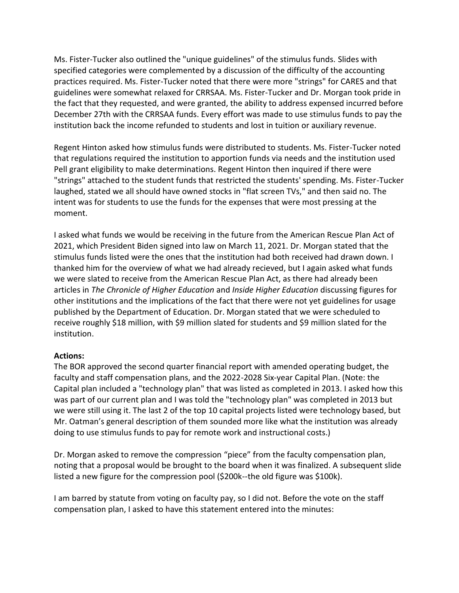Ms. Fister-Tucker also outlined the "unique guidelines" of the stimulus funds. Slides with specified categories were complemented by a discussion of the difficulty of the accounting practices required. Ms. Fister-Tucker noted that there were more "strings" for CARES and that guidelines were somewhat relaxed for CRRSAA. Ms. Fister-Tucker and Dr. Morgan took pride in the fact that they requested, and were granted, the ability to address expensed incurred before December 27th with the CRRSAA funds. Every effort was made to use stimulus funds to pay the institution back the income refunded to students and lost in tuition or auxiliary revenue.

Regent Hinton asked how stimulus funds were distributed to students. Ms. Fister-Tucker noted that regulations required the institution to apportion funds via needs and the institution used Pell grant eligibility to make determinations. Regent Hinton then inquired if there were "strings" attached to the student funds that restricted the students' spending. Ms. Fister-Tucker laughed, stated we all should have owned stocks in "flat screen TVs," and then said no. The intent was for students to use the funds for the expenses that were most pressing at the moment.

I asked what funds we would be receiving in the future from the American Rescue Plan Act of 2021, which President Biden signed into law on March 11, 2021. Dr. Morgan stated that the stimulus funds listed were the ones that the institution had both received had drawn down. I thanked him for the overview of what we had already recieved, but I again asked what funds we were slated to receive from the American Rescue Plan Act, as there had already been articles in *The Chronicle of Higher Education* and *Inside Higher Education* discussing figures for other institutions and the implications of the fact that there were not yet guidelines for usage published by the Department of Education. Dr. Morgan stated that we were scheduled to receive roughly \$18 million, with \$9 million slated for students and \$9 million slated for the institution.

## **Actions:**

The BOR approved the second quarter financial report with amended operating budget, the faculty and staff compensation plans, and the 2022-2028 Six-year Capital Plan. (Note: the Capital plan included a "technology plan" that was listed as completed in 2013. I asked how this was part of our current plan and I was told the "technology plan" was completed in 2013 but we were still using it. The last 2 of the top 10 capital projects listed were technology based, but Mr. Oatman's general description of them sounded more like what the institution was already doing to use stimulus funds to pay for remote work and instructional costs.)

Dr. Morgan asked to remove the compression "piece" from the faculty compensation plan, noting that a proposal would be brought to the board when it was finalized. A subsequent slide listed a new figure for the compression pool (\$200k--the old figure was \$100k).

I am barred by statute from voting on faculty pay, so I did not. Before the vote on the staff compensation plan, I asked to have this statement entered into the minutes: